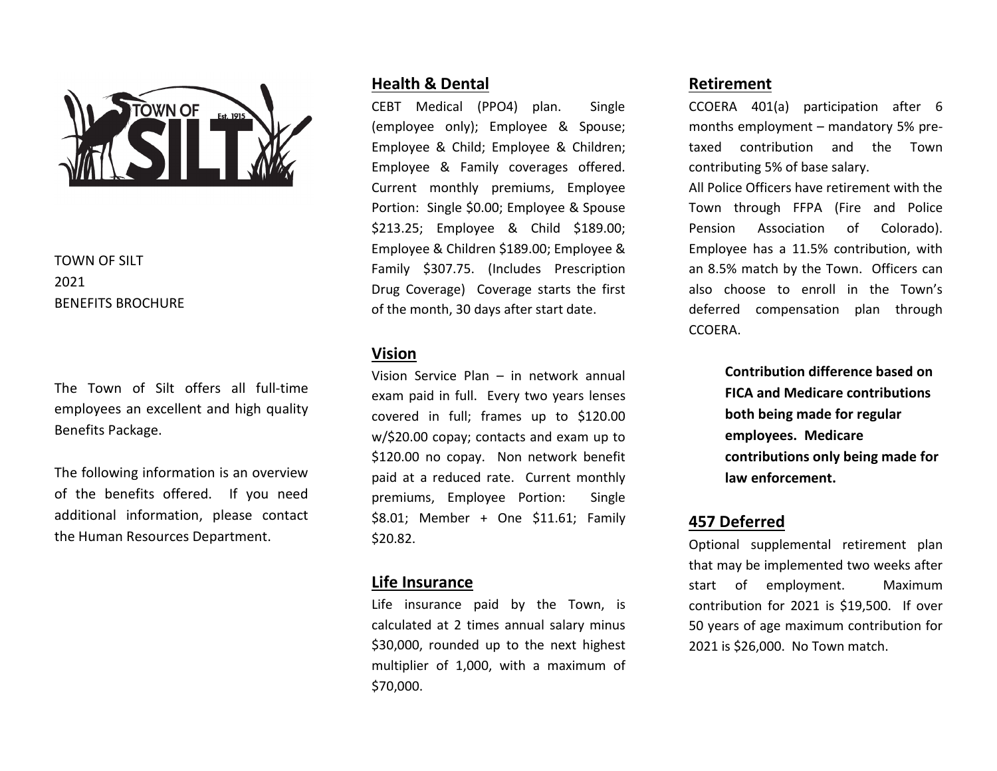

# TOWN OF SILT 2021 BENEFITS BROCHURE

The Town of Silt offers all full-time employees an excellent and high quality Benefits Package.

The following information is an overview of the benefits offered. If you need additional information, please contact the Human Resources Department.

## **Health & Dental**

CEBT Medical (PPO4) plan. Single (employee only); Employee & Spouse; Employee & Child; Employee & Children; Employee & Family coverages offered. Current monthly premiums, Employee Portion: Single \$0.00; Employee & Spouse \$213.25; Employee & Child \$189.00; Employee & Children \$189.00; Employee & Family \$307.75. (Includes Prescription Drug Coverage) Coverage starts the first of the month, 30 days after start date.

## **Vision**

Vision Service Plan – in network annual exam paid in full. Every two years lenses covered in full; frames up to \$120.00 w/\$20.00 copay; contacts and exam up to \$120.00 no copay. Non network benefit paid at a reduced rate. Current monthly premiums, Employee Portion: Single \$8.01; Member + One \$11.61; Family \$20.82.

### **Life Insurance**

Life insurance paid by the Town, is calculated at 2 times annual salary minus \$30,000, rounded up to the next highest multiplier of 1,000, with a maximum of \$70,000.

## **Retirement**

CCOERA 401(a) participation after 6 months employment – mandatory 5% pretaxed contribution and the Town contributing 5% of base salary.

All Police Officers have retirement with the Town through FFPA (Fire and Police Pension Association of Colorado). Employee has a 11.5% contribution, with an 8.5% match by the Town. Officers can also choose to enroll in the Town's deferred compensation plan through CCOERA.

> **Contribution difference based on FICA and Medicare contributions both being made for regular employees. Medicare contributions only being made for law enforcement.**

### **457 Deferred**

Optional supplemental retirement plan that may be implemented two weeks after start of employment. Maximum contribution for 2021 is \$19,500. If over 50 years of age maximum contribution for 2021 is \$26,000. No Town match.